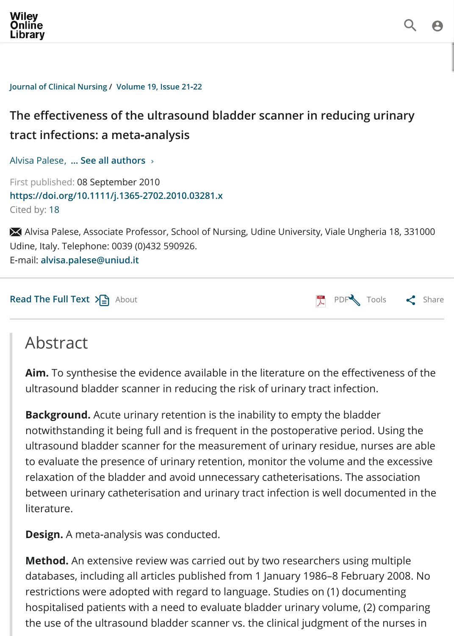## **[tract in](https://onlinelibrary.wiley.com/)fections: a meta‐analysis**

Alvisa Palese, **… See all authors** <sup>99</sup>

First published: 08 September 2010 **https://doi.org/10.1111/j.1365-2702.2010.03281.x** [Cited by: 18](https://onlinelibrary.wiley.com/journal/13652702)

X Alvisa Palese, Associate Professor, School of Nursing, Udine University, Viale Ungheria 18 Udine, Italy. Telephone: 0039 (0)432 590926. E‐mail: **alvisa.palese@uniud.it**

**The effectiveness of the ultrasound bladder scanner in reducing urinary**

**Read The Full Text**  $\sum_{i=1}^{n}$  About

# Abstract

Aim. [To synthesise the e](mailto:alvisa.palese@uniud.it)vidence available in the literature on the effectivenes ultrasound bladder scanner in reducing the risk of urinary tract infection.

**[Background.](https://onlinelibrary.wiley.com/doi/full/10.1111/j.1365-2702.2010.03281.x)** Acute urinary retention is the inability to empty the bladder notwithstandin[g it bein](https://onlinelibrary.wiley.com/doi/abs/10.1111/j.1365-2702.2010.03281.x#)g full and is frequent in the postoper[ative p](https://onlinelibrary.wiley.com/doi/epdf/10.1111/j.1365-2702.2010.03281.x)eriod. Usin ultrasound bladder scanner for the measurement of urinary residue, nurses to evaluate the presence of urinary retention, monitor the volume and the ex relaxation of the bladder and avoid unnecessary catheterisations. The associa between urinary catheterisation and urinary tract infection is well documente literature.

**Design.** A meta‐analysis was conducted.

**Method.** An extensive review was carried out by two researchers using multiple databases, including all articles published from 1 January 1986-8 February 20 restrictions were adopted with regard to language. Studies on (1) documenting hospitalised patients with a need to evaluate bladder urinary volume, (2) com the use of the ultrasound bladder scanner vs. the clinical judgment of the nur